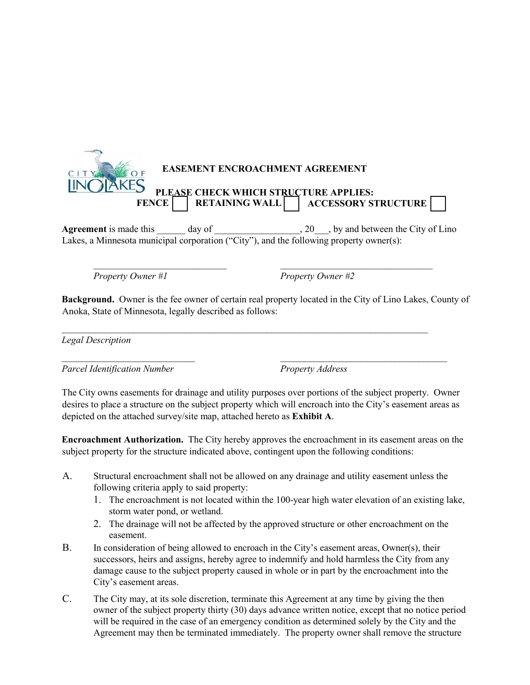

Agreement is made this day of  $\qquad \qquad$ , 20, by and between the City of Lino Lakes, a Minnesota municipal corporation ("City"), and the following property owner(s):

*Property Owner #1 Property Owner #2*

**Background.** Owner is the fee owner of certain real property located in the City of Lino Lakes, County of Anoka, State of Minnesota, legally described as follows:

 $\mathcal{L}_\text{max}$  and  $\mathcal{L}_\text{max}$  and  $\mathcal{L}_\text{max}$  and  $\mathcal{L}_\text{max}$  and  $\mathcal{L}_\text{max}$  and  $\mathcal{L}_\text{max}$ 

 $\mathcal{L}_\text{max}$  , and the contribution of the contribution of the contribution of the contribution of the contribution of the contribution of the contribution of the contribution of the contribution of the contribution of t

 $\mathcal{L}_\text{max}$  , and the contribution of the contribution of the contribution of the contribution of the contribution of the contribution of the contribution of the contribution of the contribution of the contribution of t

*Legal Description*

Parcel Identification Number Property Address

The City owns easements for drainage and utility purposes over portions of the subject property. Owner desires to place a structure on the subject property which will encroach into the City's easement areas as depicted on the attached survey/site map, attached hereto as **Exhibit A**.

**Encroachment Authorization.** The City hereby approves the encroachment in its easement areas on the subject property for the structure indicated above, contingent upon the following conditions:

- A. Structural encroachment shall not be allowed on any drainage and utility easement unless the following criteria apply to said property:
	- 1. The encroachment is not located within the 100-year high water elevation of an existing lake, storm water pond, or wetland.
	- 2. The drainage will not be affected by the approved structure or other encroachment on the easement.
- B. In consideration of being allowed to encroach in the City's easement areas, Owner(s), their successors, heirs and assigns, hereby agree to indemnify and hold harmless the City from any damage cause to the subject property caused in whole or in part by the encroachment into the City's easement areas.
- C. The City may, at its sole discretion, terminate this Agreement at any time by giving the then owner of the subject property thirty (30) days advance written notice, except that no notice period will be required in the case of an emergency condition as determined solely by the City and the Agreement may then be terminated immediately. The property owner shall remove the structure